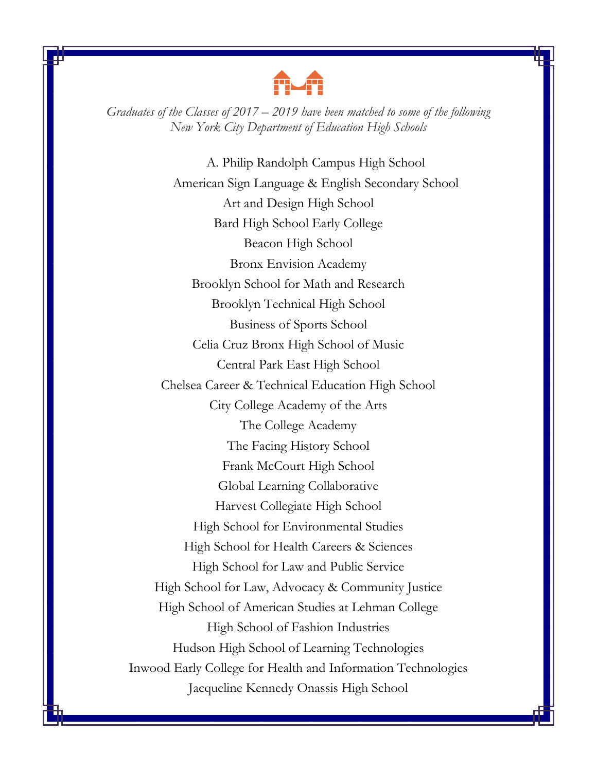

*Graduates of the Classes of 2017 – 2019 have been matched to some of the following New York City Department of Education High Schools*

A. Philip Randolph Campus High School American Sign Language & English Secondary School Art and Design High School Bard High School Early College Beacon High School Bronx Envision Academy Brooklyn School for Math and Research Brooklyn Technical High School Business of Sports School Celia Cruz Bronx High School of Music Central Park East High School Chelsea Career & Technical Education High School City College Academy of the Arts The College Academy The Facing History School Frank McCourt High School Global Learning Collaborative Harvest Collegiate High School High School for Environmental Studies High School for Health Careers & Sciences High School for Law and Public Service High School for Law, Advocacy & Community Justice High School of American Studies at Lehman College High School of Fashion Industries Hudson High School of Learning Technologies Inwood Early College for Health and Information Technologies Jacqueline Kennedy Onassis High School